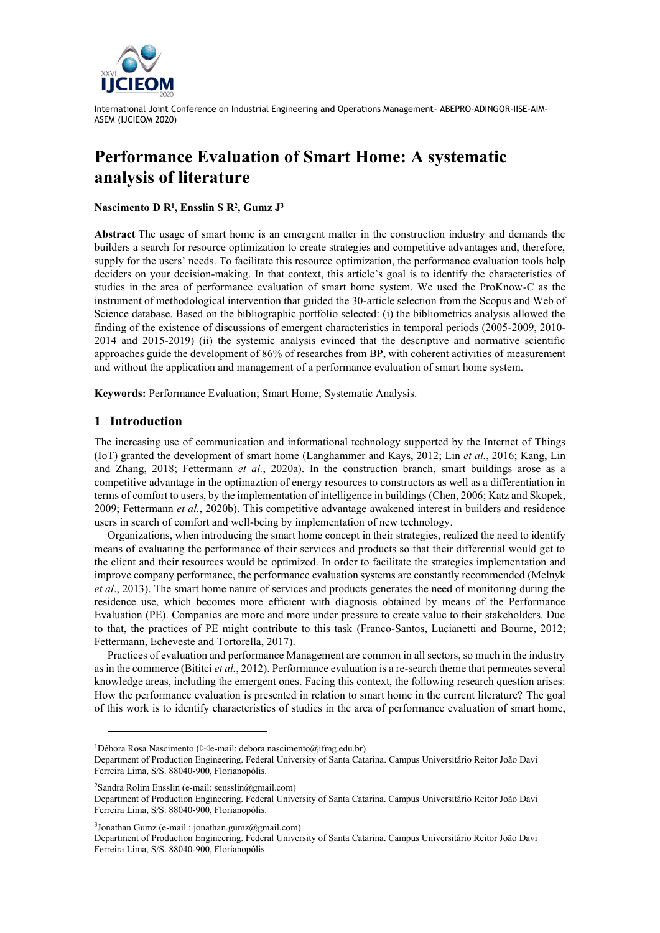

# **Performance Evaluation of Smart Home: A systematic analysis of literature**

#### **Nascimento D R<sup>1</sup> , Ensslin S R<sup>2</sup> , Gumz J 3**

**Abstract** The usage of smart home is an emergent matter in the construction industry and demands the builders a search for resource optimization to create strategies and competitive advantages and, therefore, supply for the users' needs. To facilitate this resource optimization, the performance evaluation tools help deciders on your decision-making. In that context, this article's goal is to identify the characteristics of studies in the area of performance evaluation of smart home system. We used the ProKnow-C as the instrument of methodological intervention that guided the 30-article selection from the Scopus and Web of Science database. Based on the bibliographic portfolio selected: (i) the bibliometrics analysis allowed the finding of the existence of discussions of emergent characteristics in temporal periods (2005-2009, 2010- 2014 and 2015-2019) (ii) the systemic analysis evinced that the descriptive and normative scientific approaches guide the development of 86% of researches from BP, with coherent activities of measurement and without the application and management of a performance evaluation of smart home system.

**Keywords:** Performance Evaluation; Smart Home; Systematic Analysis.

## **1 Introduction**

The increasing use of communication and informational technology supported by the Internet of Things (IoT) granted the development of smart home (Langhammer and Kays, 2012; Lin *et al.*, 2016; Kang, Lin and Zhang, 2018; Fettermann *et al.*, 2020a). In the construction branch, smart buildings arose as a competitive advantage in the optimaztion of energy resources to constructors as well as a differentiation in terms of comfort to users, by the implementation of intelligence in buildings (Chen, 2006; Katz and Skopek, 2009; Fettermann *et al.*, 2020b). This competitive advantage awakened interest in builders and residence users in search of comfort and well-being by implementation of new technology.

Organizations, when introducing the smart home concept in their strategies, realized the need to identify means of evaluating the performance of their services and products so that their differential would get to the client and their resources would be optimized. In order to facilitate the strategies implementation and improve company performance, the performance evaluation systems are constantly recommended (Melnyk *et al*., 2013). The smart home nature of services and products generates the need of monitoring during the residence use, which becomes more efficient with diagnosis obtained by means of the Performance Evaluation (PE). Companies are more and more under pressure to create value to their stakeholders. Due to that, the practices of PE might contribute to this task (Franco-Santos, Lucianetti and Bourne, 2012; Fettermann, Echeveste and Tortorella, 2017).

Practices of evaluation and performance Management are common in all sectors, so much in the industry as in the commerce (Bititci *et al.*, 2012). Performance evaluation is a re-search theme that permeates several knowledge areas, including the emergent ones. Facing this context, the following research question arises: How the performance evaluation is presented in relation to smart home in the current literature? The goal of this work is to identify characteristics of studies in the area of performance evaluation of smart home,

<sup>2</sup>Sandra Rolim Ensslin (e-mail: sensslin@gmail.com)

<sup>&</sup>lt;sup>1</sup>Débora Rosa Nascimento ( $\boxtimes$ e-mail: debora.nascimento@ifmg.edu.br)

Department of Production Engineering. Federal University of Santa Catarina. Campus Universitário Reitor João Davi Ferreira Lima, S/S. 88040-900, Florianopólis.

Department of Production Engineering. Federal University of Santa Catarina. Campus Universitário Reitor João Davi Ferreira Lima, S/S. 88040-900, Florianopólis.

<sup>3</sup> Jonathan Gumz (e-mail : jonathan.gumz@gmail.com)

Department of Production Engineering. Federal University of Santa Catarina. Campus Universitário Reitor João Davi Ferreira Lima, S/S. 88040-900, Florianopólis.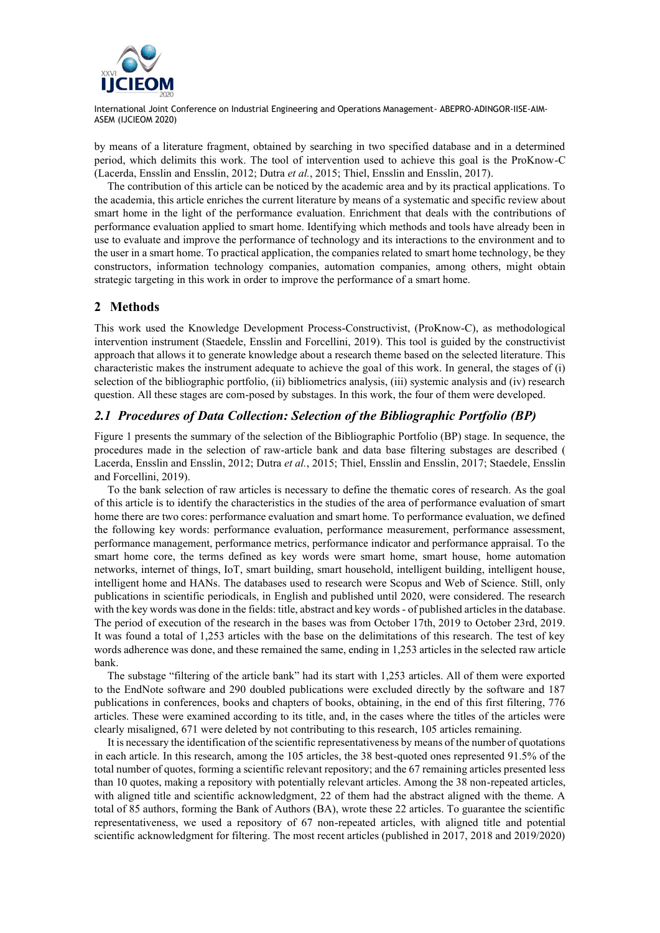

by means of a literature fragment, obtained by searching in two specified database and in a determined period, which delimits this work. The tool of intervention used to achieve this goal is the ProKnow-C (Lacerda, Ensslin and Ensslin, 2012; Dutra *et al.*, 2015; Thiel, Ensslin and Ensslin, 2017).

The contribution of this article can be noticed by the academic area and by its practical applications. To the academia, this article enriches the current literature by means of a systematic and specific review about smart home in the light of the performance evaluation. Enrichment that deals with the contributions of performance evaluation applied to smart home. Identifying which methods and tools have already been in use to evaluate and improve the performance of technology and its interactions to the environment and to the user in a smart home. To practical application, the companies related to smart home technology, be they constructors, information technology companies, automation companies, among others, might obtain strategic targeting in this work in order to improve the performance of a smart home.

# **2 Methods**

This work used the Knowledge Development Process-Constructivist, (ProKnow-C), as methodological intervention instrument (Staedele, Ensslin and Forcellini, 2019). This tool is guided by the constructivist approach that allows it to generate knowledge about a research theme based on the selected literature. This characteristic makes the instrument adequate to achieve the goal of this work. In general, the stages of (i) selection of the bibliographic portfolio, (ii) bibliometrics analysis, (iii) systemic analysis and (iv) research question. All these stages are com-posed by substages. In this work, the four of them were developed.

## *2.1 Procedures of Data Collection: Selection of the Bibliographic Portfolio (BP)*

Figure 1 presents the summary of the selection of the Bibliographic Portfolio (BP) stage. In sequence, the procedures made in the selection of raw-article bank and data base filtering substages are described ( Lacerda, Ensslin and Ensslin, 2012; Dutra *et al.*, 2015; Thiel, Ensslin and Ensslin, 2017; Staedele, Ensslin and Forcellini, 2019).

To the bank selection of raw articles is necessary to define the thematic cores of research. As the goal of this article is to identify the characteristics in the studies of the area of performance evaluation of smart home there are two cores: performance evaluation and smart home. To performance evaluation, we defined the following key words: performance evaluation, performance measurement, performance assessment, performance management, performance metrics, performance indicator and performance appraisal. To the smart home core, the terms defined as key words were smart home, smart house, home automation networks, internet of things, IoT, smart building, smart household, intelligent building, intelligent house, intelligent home and HANs. The databases used to research were Scopus and Web of Science. Still, only publications in scientific periodicals, in English and published until 2020, were considered. The research with the key words was done in the fields: title, abstract and key words - of published articles in the database. The period of execution of the research in the bases was from October 17th, 2019 to October 23rd, 2019. It was found a total of 1,253 articles with the base on the delimitations of this research. The test of key words adherence was done, and these remained the same, ending in 1,253 articles in the selected raw article bank.

The substage "filtering of the article bank" had its start with 1,253 articles. All of them were exported to the EndNote software and 290 doubled publications were excluded directly by the software and 187 publications in conferences, books and chapters of books, obtaining, in the end of this first filtering, 776 articles. These were examined according to its title, and, in the cases where the titles of the articles were clearly misaligned, 671 were deleted by not contributing to this research, 105 articles remaining.

It is necessary the identification of the scientific representativeness by means of the number of quotations in each article. In this research, among the 105 articles, the 38 best-quoted ones represented 91.5% of the total number of quotes, forming a scientific relevant repository; and the 67 remaining articles presented less than 10 quotes, making a repository with potentially relevant articles. Among the 38 non-repeated articles, with aligned title and scientific acknowledgment, 22 of them had the abstract aligned with the theme. A total of 85 authors, forming the Bank of Authors (BA), wrote these 22 articles. To guarantee the scientific representativeness, we used a repository of 67 non-repeated articles, with aligned title and potential scientific acknowledgment for filtering. The most recent articles (published in 2017, 2018 and 2019/2020)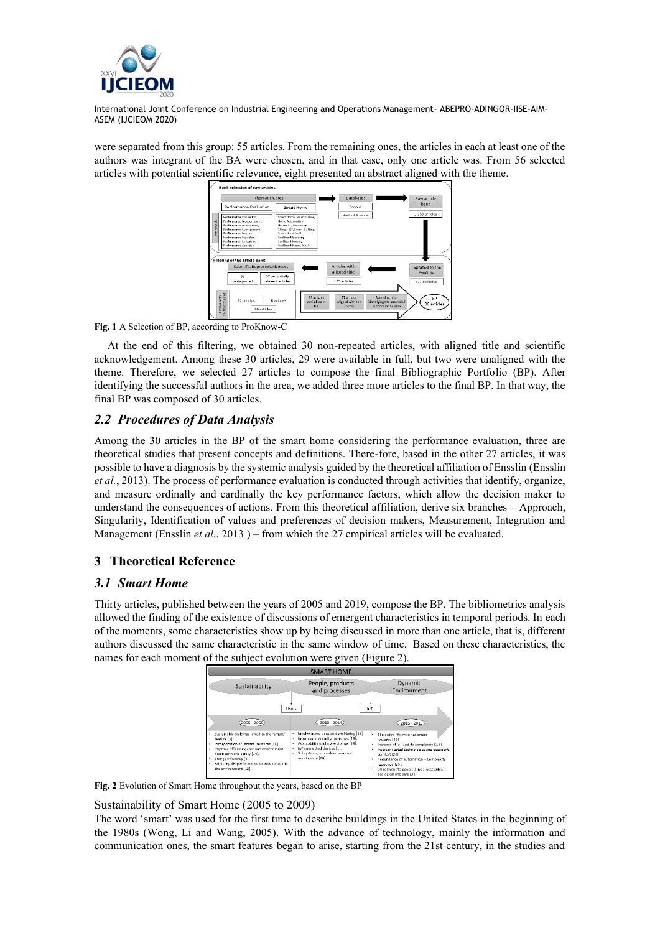

were separated from this group: 55 articles. From the remaining ones, the articles in each at least one of the authors was integrant of the BA were chosen, and in that case, only one article was. From 56 selected articles with potential scientific relevance, eight presented an abstract aligned with the theme.



**Fig. 1** A Selection of BP, according to ProKnow-C

At the end of this filtering, we obtained 30 non-repeated articles, with aligned title and scientific acknowledgement. Among these 30 articles, 29 were available in full, but two were unaligned with the theme. Therefore, we selected 27 articles to compose the final Bibliographic Portfolio (BP). After identifying the successful authors in the area, we added three more articles to the final BP. In that way, the final BP was composed of 30 articles.

# *2.2 Procedures of Data Analysis*

Among the 30 articles in the BP of the smart home considering the performance evaluation, three are theoretical studies that present concepts and definitions. There-fore, based in the other 27 articles, it was possible to have a diagnosis by the systemic analysis guided by the theoretical affiliation of Ensslin (Ensslin *et al.*, 2013). The process of performance evaluation is conducted through activities that identify, organize, and measure ordinally and cardinally the key performance factors, which allow the decision maker to understand the consequences of actions. From this theoretical affiliation, derive six branches – Approach, Singularity, Identification of values and preferences of decision makers, Measurement, Integration and Management (Ensslin *et al.*, 2013) – from which the 27 empirical articles will be evaluated.

# **3 Theoretical Reference**

# *3.1 Smart Home*

Thirty articles, published between the years of 2005 and 2019, compose the BP. The bibliometrics analysis allowed the finding of the existence of discussions of emergent characteristics in temporal periods. In each of the moments, some characteristics show up by being discussed in more than one article, that is, different authors discussed the same characteristic in the same window of time. Based on these characteristics, the names for each moment of the subject evolution were given (Figure 2).



**Fig. 2** Evolution of Smart Home throughout the years, based on the BP

## Sustainability of Smart Home (2005 to 2009)

The word 'smart' was used for the first time to describe buildings in the United States in the beginning of the 1980s (Wong, Li and Wang, 2005). With the advance of technology, mainly the information and communication ones, the smart features began to arise, starting from the 21st century, in the studies and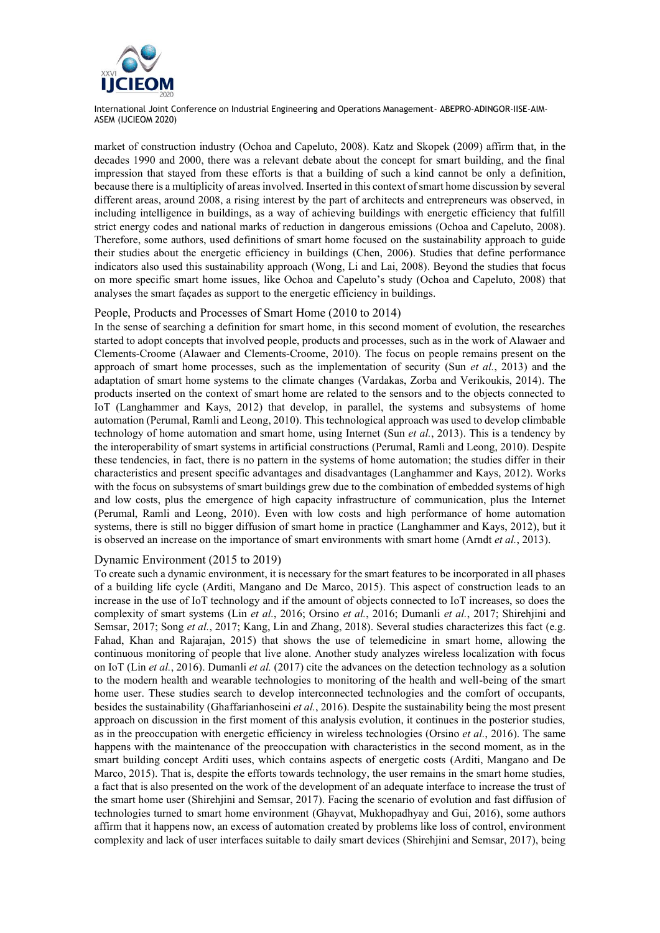

market of construction industry (Ochoa and Capeluto, 2008). Katz and Skopek (2009) affirm that, in the decades 1990 and 2000, there was a relevant debate about the concept for smart building, and the final impression that stayed from these efforts is that a building of such a kind cannot be only a definition, because there is a multiplicity of areas involved. Inserted in this context of smart home discussion by several different areas, around 2008, a rising interest by the part of architects and entrepreneurs was observed, in including intelligence in buildings, as a way of achieving buildings with energetic efficiency that fulfill strict energy codes and national marks of reduction in dangerous emissions (Ochoa and Capeluto, 2008). Therefore, some authors, used definitions of smart home focused on the sustainability approach to guide their studies about the energetic efficiency in buildings (Chen, 2006). Studies that define performance indicators also used this sustainability approach (Wong, Li and Lai, 2008). Beyond the studies that focus on more specific smart home issues, like Ochoa and Capeluto's study (Ochoa and Capeluto, 2008) that analyses the smart façades as support to the energetic efficiency in buildings.

#### People, Products and Processes of Smart Home (2010 to 2014)

In the sense of searching a definition for smart home, in this second moment of evolution, the researches started to adopt concepts that involved people, products and processes, such as in the work of Alawaer and Clements-Croome (Alawaer and Clements-Croome, 2010). The focus on people remains present on the approach of smart home processes, such as the implementation of security (Sun *et al.*, 2013) and the adaptation of smart home systems to the climate changes (Vardakas, Zorba and Verikoukis, 2014). The products inserted on the context of smart home are related to the sensors and to the objects connected to IoT (Langhammer and Kays, 2012) that develop, in parallel, the systems and subsystems of home automation (Perumal, Ramli and Leong, 2010). This technological approach was used to develop climbable technology of home automation and smart home, using Internet (Sun *et al.*, 2013). This is a tendency by the interoperability of smart systems in artificial constructions (Perumal, Ramli and Leong, 2010). Despite these tendencies, in fact, there is no pattern in the systems of home automation; the studies differ in their characteristics and present specific advantages and disadvantages (Langhammer and Kays, 2012). Works with the focus on subsystems of smart buildings grew due to the combination of embedded systems of high and low costs, plus the emergence of high capacity infrastructure of communication, plus the Internet (Perumal, Ramli and Leong, 2010). Even with low costs and high performance of home automation systems, there is still no bigger diffusion of smart home in practice (Langhammer and Kays, 2012), but it is observed an increase on the importance of smart environments with smart home (Arndt *et al.*, 2013).

#### Dynamic Environment (2015 to 2019)

To create such a dynamic environment, it is necessary for the smart features to be incorporated in all phases of a building life cycle (Arditi, Mangano and De Marco, 2015). This aspect of construction leads to an increase in the use of IoT technology and if the amount of objects connected to IoT increases, so does the complexity of smart systems (Lin *et al.*, 2016; Orsino *et al.*, 2016; Dumanli *et al.*, 2017; Shirehjini and Semsar, 2017; Song *et al.*, 2017; Kang, Lin and Zhang, 2018). Several studies characterizes this fact (e.g. Fahad, Khan and Rajarajan, 2015) that shows the use of telemedicine in smart home, allowing the continuous monitoring of people that live alone. Another study analyzes wireless localization with focus on IoT (Lin *et al.*, 2016). Dumanli *et al.* (2017) cite the advances on the detection technology as a solution to the modern health and wearable technologies to monitoring of the health and well-being of the smart home user. These studies search to develop interconnected technologies and the comfort of occupants, besides the sustainability (Ghaffarianhoseini *et al.*, 2016). Despite the sustainability being the most present approach on discussion in the first moment of this analysis evolution, it continues in the posterior studies, as in the preoccupation with energetic efficiency in wireless technologies (Orsino *et al.*, 2016). The same happens with the maintenance of the preoccupation with characteristics in the second moment, as in the smart building concept Arditi uses, which contains aspects of energetic costs (Arditi, Mangano and De Marco, 2015). That is, despite the efforts towards technology, the user remains in the smart home studies, a fact that is also presented on the work of the development of an adequate interface to increase the trust of the smart home user (Shirehjini and Semsar, 2017). Facing the scenario of evolution and fast diffusion of technologies turned to smart home environment (Ghayvat, Mukhopadhyay and Gui, 2016), some authors affirm that it happens now, an excess of automation created by problems like loss of control, environment complexity and lack of user interfaces suitable to daily smart devices (Shirehjini and Semsar, 2017), being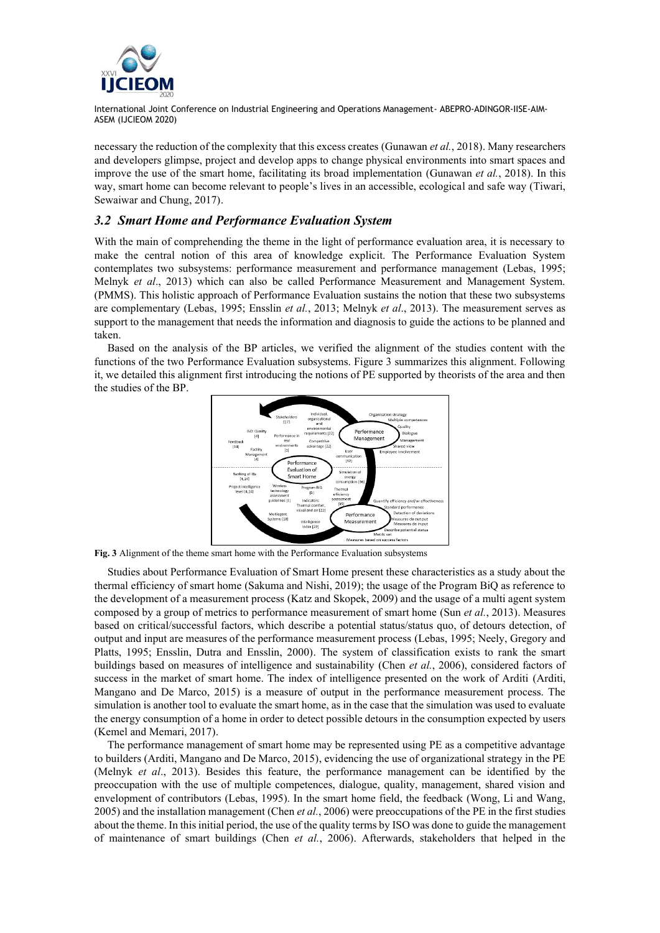

necessary the reduction of the complexity that this excess creates (Gunawan *et al.*, 2018). Many researchers and developers glimpse, project and develop apps to change physical environments into smart spaces and improve the use of the smart home, facilitating its broad implementation (Gunawan *et al.*, 2018). In this way, smart home can become relevant to people's lives in an accessible, ecological and safe way (Tiwari, Sewaiwar and Chung, 2017).

## *3.2 Smart Home and Performance Evaluation System*

With the main of comprehending the theme in the light of performance evaluation area, it is necessary to make the central notion of this area of knowledge explicit. The Performance Evaluation System contemplates two subsystems: performance measurement and performance management (Lebas, 1995; Melnyk *et al*., 2013) which can also be called Performance Measurement and Management System. (PMMS). This holistic approach of Performance Evaluation sustains the notion that these two subsystems are complementary (Lebas, 1995; Ensslin *et al.*, 2013; Melnyk *et al*., 2013). The measurement serves as support to the management that needs the information and diagnosis to guide the actions to be planned and taken.

Based on the analysis of the BP articles, we verified the alignment of the studies content with the functions of the two Performance Evaluation subsystems. Figure 3 summarizes this alignment. Following it, we detailed this alignment first introducing the notions of PE supported by theorists of the area and then the studies of the BP.



**Fig. 3** Alignment of the theme smart home with the Performance Evaluation subsystems

Studies about Performance Evaluation of Smart Home present these characteristics as a study about the thermal efficiency of smart home (Sakuma and Nishi, 2019); the usage of the Program BiQ as reference to the development of a measurement process (Katz and Skopek, 2009) and the usage of a multi agent system composed by a group of metrics to performance measurement of smart home (Sun *et al.*, 2013). Measures based on critical/successful factors, which describe a potential status/status quo, of detours detection, of output and input are measures of the performance measurement process (Lebas, 1995; Neely, Gregory and Platts, 1995; Ensslin, Dutra and Ensslin, 2000). The system of classification exists to rank the smart buildings based on measures of intelligence and sustainability (Chen *et al.*, 2006), considered factors of success in the market of smart home. The index of intelligence presented on the work of Arditi (Arditi, Mangano and De Marco, 2015) is a measure of output in the performance measurement process. The simulation is another tool to evaluate the smart home, as in the case that the simulation was used to evaluate the energy consumption of a home in order to detect possible detours in the consumption expected by users (Kemel and Memari, 2017).

The performance management of smart home may be represented using PE as a competitive advantage to builders (Arditi, Mangano and De Marco, 2015), evidencing the use of organizational strategy in the PE (Melnyk *et al*., 2013). Besides this feature, the performance management can be identified by the preoccupation with the use of multiple competences, dialogue, quality, management, shared vision and envelopment of contributors (Lebas, 1995). In the smart home field, the feedback (Wong, Li and Wang, 2005) and the installation management (Chen *et al.*, 2006) were preoccupations of the PE in the first studies about the theme. In this initial period, the use of the quality terms by ISO was done to guide the management of maintenance of smart buildings (Chen *et al.*, 2006). Afterwards, stakeholders that helped in the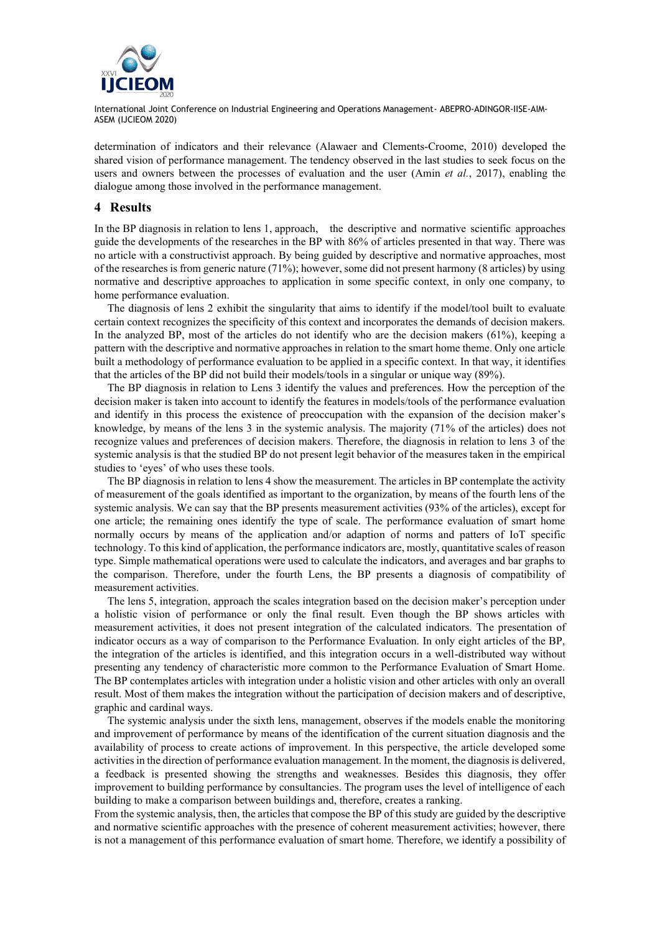

determination of indicators and their relevance (Alawaer and Clements-Croome, 2010) developed the shared vision of performance management. The tendency observed in the last studies to seek focus on the users and owners between the processes of evaluation and the user (Amin *et al.*, 2017), enabling the dialogue among those involved in the performance management.

#### **4 Results**

In the BP diagnosis in relation to lens 1, approach, the descriptive and normative scientific approaches guide the developments of the researches in the BP with 86% of articles presented in that way. There was no article with a constructivist approach. By being guided by descriptive and normative approaches, most of the researches is from generic nature (71%); however, some did not present harmony (8 articles) by using normative and descriptive approaches to application in some specific context, in only one company, to home performance evaluation.

The diagnosis of lens 2 exhibit the singularity that aims to identify if the model/tool built to evaluate certain context recognizes the specificity of this context and incorporates the demands of decision makers. In the analyzed BP, most of the articles do not identify who are the decision makers (61%), keeping a pattern with the descriptive and normative approaches in relation to the smart home theme. Only one article built a methodology of performance evaluation to be applied in a specific context. In that way, it identifies that the articles of the BP did not build their models/tools in a singular or unique way (89%).

The BP diagnosis in relation to Lens 3 identify the values and preferences. How the perception of the decision maker is taken into account to identify the features in models/tools of the performance evaluation and identify in this process the existence of preoccupation with the expansion of the decision maker's knowledge, by means of the lens 3 in the systemic analysis. The majority (71% of the articles) does not recognize values and preferences of decision makers. Therefore, the diagnosis in relation to lens 3 of the systemic analysis is that the studied BP do not present legit behavior of the measures taken in the empirical studies to 'eyes' of who uses these tools.

The BP diagnosis in relation to lens 4 show the measurement. The articles in BP contemplate the activity of measurement of the goals identified as important to the organization, by means of the fourth lens of the systemic analysis. We can say that the BP presents measurement activities (93% of the articles), except for one article; the remaining ones identify the type of scale. The performance evaluation of smart home normally occurs by means of the application and/or adaption of norms and patters of IoT specific technology. To this kind of application, the performance indicators are, mostly, quantitative scales of reason type. Simple mathematical operations were used to calculate the indicators, and averages and bar graphs to the comparison. Therefore, under the fourth Lens, the BP presents a diagnosis of compatibility of measurement activities.

The lens 5, integration, approach the scales integration based on the decision maker's perception under a holistic vision of performance or only the final result. Even though the BP shows articles with measurement activities, it does not present integration of the calculated indicators. The presentation of indicator occurs as a way of comparison to the Performance Evaluation. In only eight articles of the BP, the integration of the articles is identified, and this integration occurs in a well-distributed way without presenting any tendency of characteristic more common to the Performance Evaluation of Smart Home. The BP contemplates articles with integration under a holistic vision and other articles with only an overall result. Most of them makes the integration without the participation of decision makers and of descriptive, graphic and cardinal ways.

The systemic analysis under the sixth lens, management, observes if the models enable the monitoring and improvement of performance by means of the identification of the current situation diagnosis and the availability of process to create actions of improvement. In this perspective, the article developed some activities in the direction of performance evaluation management. In the moment, the diagnosis is delivered, a feedback is presented showing the strengths and weaknesses. Besides this diagnosis, they offer improvement to building performance by consultancies. The program uses the level of intelligence of each building to make a comparison between buildings and, therefore, creates a ranking.

From the systemic analysis, then, the articles that compose the BP of this study are guided by the descriptive and normative scientific approaches with the presence of coherent measurement activities; however, there is not a management of this performance evaluation of smart home. Therefore, we identify a possibility of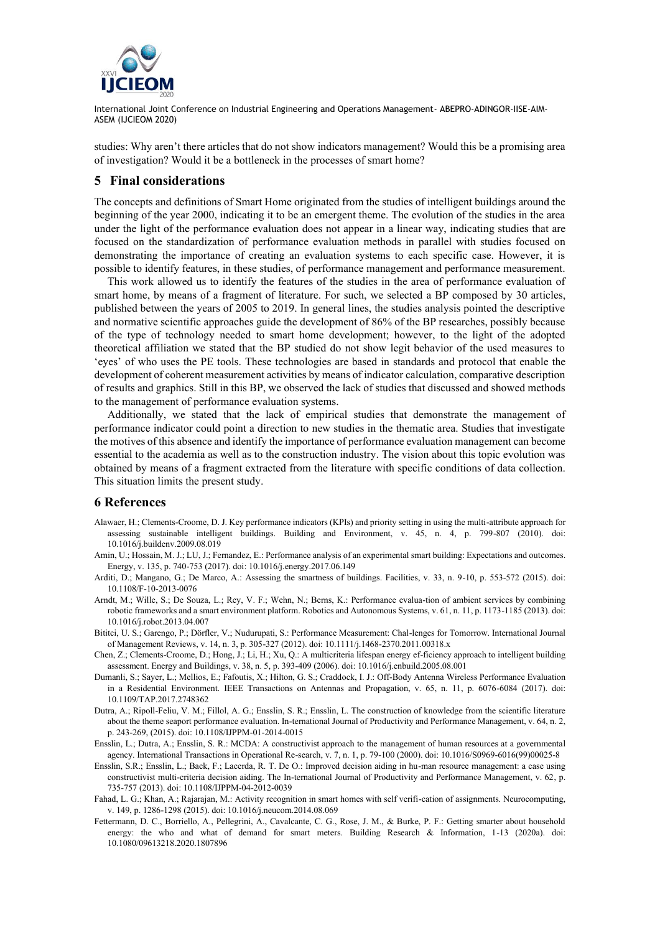

studies: Why aren't there articles that do not show indicators management? Would this be a promising area of investigation? Would it be a bottleneck in the processes of smart home?

## **5 Final considerations**

The concepts and definitions of Smart Home originated from the studies of intelligent buildings around the beginning of the year 2000, indicating it to be an emergent theme. The evolution of the studies in the area under the light of the performance evaluation does not appear in a linear way, indicating studies that are focused on the standardization of performance evaluation methods in parallel with studies focused on demonstrating the importance of creating an evaluation systems to each specific case. However, it is possible to identify features, in these studies, of performance management and performance measurement.

This work allowed us to identify the features of the studies in the area of performance evaluation of smart home, by means of a fragment of literature. For such, we selected a BP composed by 30 articles, published between the years of 2005 to 2019. In general lines, the studies analysis pointed the descriptive and normative scientific approaches guide the development of 86% of the BP researches, possibly because of the type of technology needed to smart home development; however, to the light of the adopted theoretical affiliation we stated that the BP studied do not show legit behavior of the used measures to 'eyes' of who uses the PE tools. These technologies are based in standards and protocol that enable the development of coherent measurement activities by means of indicator calculation, comparative description of results and graphics. Still in this BP, we observed the lack of studies that discussed and showed methods to the management of performance evaluation systems.

Additionally, we stated that the lack of empirical studies that demonstrate the management of performance indicator could point a direction to new studies in the thematic area. Studies that investigate the motives of this absence and identify the importance of performance evaluation management can become essential to the academia as well as to the construction industry. The vision about this topic evolution was obtained by means of a fragment extracted from the literature with specific conditions of data collection. This situation limits the present study.

#### **6 References**

- Alawaer, H.; Clements-Croome, D. J. Key performance indicators (KPIs) and priority setting in using the multi-attribute approach for assessing sustainable intelligent buildings. Building and Environment, v. 45, n. 4, p. 799-807 (2010). doi: 10.1016/j.buildenv.2009.08.019
- Amin, U.; Hossain, M. J.; LU, J.; Fernandez, E.: Performance analysis of an experimental smart building: Expectations and outcomes. Energy, v. 135, p. 740-753 (2017). doi: 10.1016/j.energy.2017.06.149
- Arditi, D.; Mangano, G.; De Marco, A.: Assessing the smartness of buildings. Facilities, v. 33, n. 9-10, p. 553-572 (2015). doi: 10.1108/F-10-2013-0076
- Arndt, M.; Wille, S.; De Souza, L.; Rey, V. F.; Wehn, N.; Berns, K.: Performance evalua-tion of ambient services by combining robotic frameworks and a smart environment platform. Robotics and Autonomous Systems, v. 61, n. 11, p. 1173-1185 (2013). doi: 10.1016/j.robot.2013.04.007
- Bititci, U. S.; Garengo, P.; Dörfler, V.; Nudurupati, S.: Performance Measurement: Chal-lenges for Tomorrow. International Journal of Management Reviews, v. 14, n. 3, p. 305-327 (2012). doi: 10.1111/j.1468-2370.2011.00318.x
- Chen, Z.; Clements-Croome, D.; Hong, J.; Li, H.; Xu, Q.: A multicriteria lifespan energy ef-ficiency approach to intelligent building assessment. Energy and Buildings, v. 38, n. 5, p. 393-409 (2006). doi: 10.1016/j.enbuild.2005.08.001
- Dumanli, S.; Sayer, L.; Mellios, E.; Fafoutis, X.; Hilton, G. S.; Craddock, I. J.: Off-Body Antenna Wireless Performance Evaluation in a Residential Environment. IEEE Transactions on Antennas and Propagation, v. 65, n. 11, p. 6076-6084 (2017). doi: 10.1109/TAP.2017.2748362
- Dutra, A.; Ripoll-Feliu, V. M.; Fillol, A. G.; Ensslin, S. R.; Ensslin, L. The construction of knowledge from the scientific literature about the theme seaport performance evaluation. In-ternational Journal of Productivity and Performance Management, v. 64, n. 2, p. 243-269, (2015). doi: 10.1108/IJPPM-01-2014-0015
- Ensslin, L.; Dutra, A.; Ensslin, S. R.: MCDA: A constructivist approach to the management of human resources at a governmental agency. International Transactions in Operational Re-search, v. 7, n. 1, p. 79-100 (2000). doi: 10.1016/S0969-6016(99)00025-8
- Ensslin, S.R.; Ensslin, L.; Back, F.; Lacerda, R. T. De O.: Improved decision aiding in hu-man resource management: a case using constructivist multi-criteria decision aiding. The In-ternational Journal of Productivity and Performance Management, v. 62, p. 735-757 (2013). doi: 10.1108/IJPPM-04-2012-0039
- Fahad, L. G.; Khan, A.; Rajarajan, M.: Activity recognition in smart homes with self verifi-cation of assignments. Neurocomputing, v. 149, p. 1286-1298 (2015). doi: 10.1016/j.neucom.2014.08.069
- Fettermann, D. C., Borriello, A., Pellegrini, A., Cavalcante, C. G., Rose, J. M., & Burke, P. F.: Getting smarter about household energy: the who and what of demand for smart meters. Building Research & Information, 1-13 (2020a). doi: 10.1080/09613218.2020.1807896